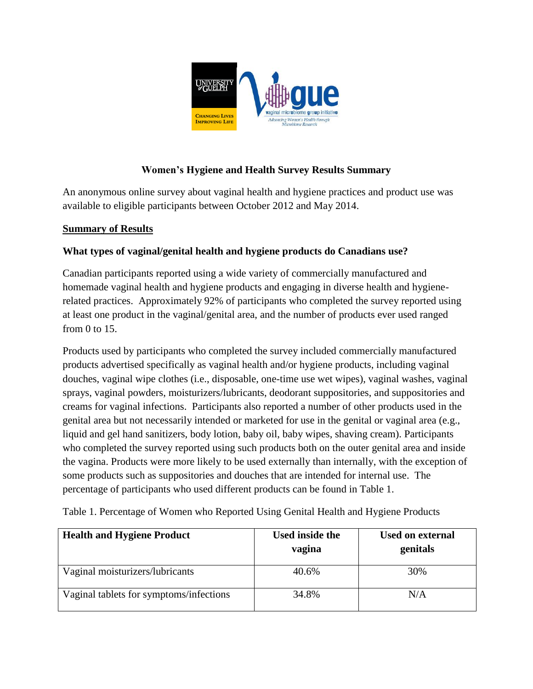

# **Women's Hygiene and Health Survey Results Summary**

An anonymous online survey about vaginal health and hygiene practices and product use was available to eligible participants between October 2012 and May 2014.

#### **Summary of Results**

# **What types of vaginal/genital health and hygiene products do Canadians use?**

Canadian participants reported using a wide variety of commercially manufactured and homemade vaginal health and hygiene products and engaging in diverse health and hygienerelated practices. Approximately 92% of participants who completed the survey reported using at least one product in the vaginal/genital area, and the number of products ever used ranged from 0 to 15.

Products used by participants who completed the survey included commercially manufactured products advertised specifically as vaginal health and/or hygiene products, including vaginal douches, vaginal wipe clothes (i.e., disposable, one-time use wet wipes), vaginal washes, vaginal sprays, vaginal powders, moisturizers/lubricants, deodorant suppositories, and suppositories and creams for vaginal infections. Participants also reported a number of other products used in the genital area but not necessarily intended or marketed for use in the genital or vaginal area (e.g., liquid and gel hand sanitizers, body lotion, baby oil, baby wipes, shaving cream). Participants who completed the survey reported using such products both on the outer genital area and inside the vagina. Products were more likely to be used externally than internally, with the exception of some products such as suppositories and douches that are intended for internal use. The percentage of participants who used different products can be found in Table 1.

| <b>Health and Hygiene Product</b>       | <b>Used inside the</b><br>vagina | <b>Used on external</b><br>genitals |
|-----------------------------------------|----------------------------------|-------------------------------------|
| Vaginal moisturizers/lubricants         | 40.6%                            | 30%                                 |
| Vaginal tablets for symptoms/infections | 34.8%                            | N/A                                 |

Table 1. Percentage of Women who Reported Using Genital Health and Hygiene Products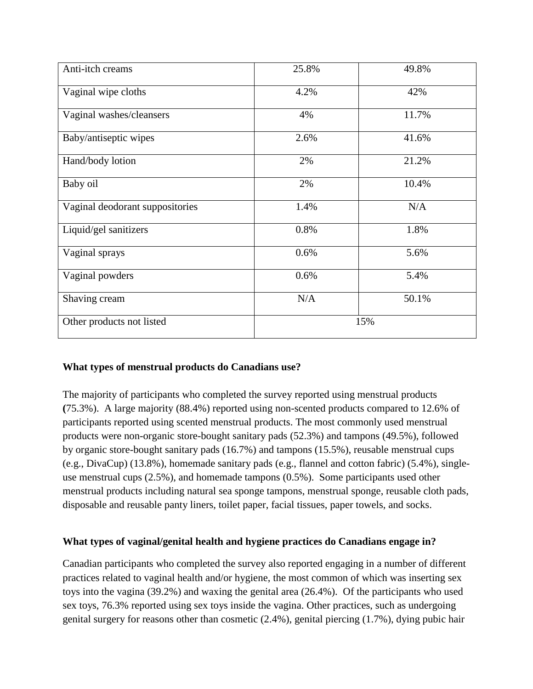| Anti-itch creams                | 25.8% | 49.8% |
|---------------------------------|-------|-------|
| Vaginal wipe cloths             | 4.2%  | 42%   |
| Vaginal washes/cleansers        | 4%    | 11.7% |
| Baby/antiseptic wipes           | 2.6%  | 41.6% |
| Hand/body lotion                | 2%    | 21.2% |
| Baby oil                        | 2%    | 10.4% |
| Vaginal deodorant suppositories | 1.4%  | N/A   |
| Liquid/gel sanitizers           | 0.8%  | 1.8%  |
| Vaginal sprays                  | 0.6%  | 5.6%  |
| Vaginal powders                 | 0.6%  | 5.4%  |
| Shaving cream                   | N/A   | 50.1% |
| Other products not listed       | 15%   |       |

#### **What types of menstrual products do Canadians use?**

The majority of participants who completed the survey reported using menstrual products **(**75.3%). A large majority (88.4%) reported using non-scented products compared to 12.6% of participants reported using scented menstrual products. The most commonly used menstrual products were non-organic store-bought sanitary pads (52.3%) and tampons (49.5%), followed by organic store-bought sanitary pads (16.7%) and tampons (15.5%), reusable menstrual cups (e.g., DivaCup) (13.8%), homemade sanitary pads (e.g., flannel and cotton fabric) (5.4%), singleuse menstrual cups (2.5%), and homemade tampons (0.5%). Some participants used other menstrual products including natural sea sponge tampons, menstrual sponge, reusable cloth pads, disposable and reusable panty liners, toilet paper, facial tissues, paper towels, and socks.

#### **What types of vaginal/genital health and hygiene practices do Canadians engage in?**

Canadian participants who completed the survey also reported engaging in a number of different practices related to vaginal health and/or hygiene, the most common of which was inserting sex toys into the vagina (39.2%) and waxing the genital area (26.4%). Of the participants who used sex toys, 76.3% reported using sex toys inside the vagina. Other practices, such as undergoing genital surgery for reasons other than cosmetic (2.4%), genital piercing (1.7%), dying pubic hair